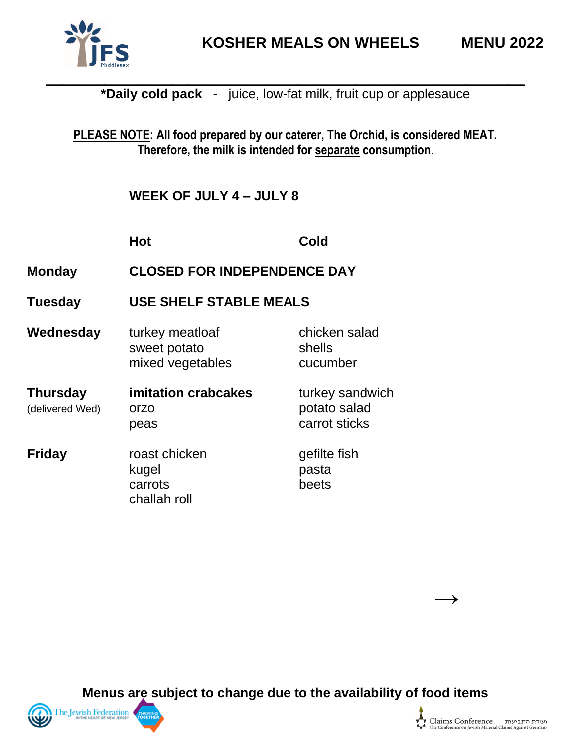

**PLEASE NOTE: All food prepared by our caterer, The Orchid, is considered MEAT. Therefore, the milk is intended for separate consumption**.

**WEEK OF JULY 4 – JULY 8**

|                                    | <b>Hot</b>                                          | Cold                                             |  |
|------------------------------------|-----------------------------------------------------|--------------------------------------------------|--|
| <b>Monday</b>                      | <b>CLOSED FOR INDEPENDENCE DAY</b>                  |                                                  |  |
| <b>Tuesday</b>                     | <b>USE SHELF STABLE MEALS</b>                       |                                                  |  |
| Wednesday                          | turkey meatloaf<br>sweet potato<br>mixed vegetables | chicken salad<br>shells<br>cucumber              |  |
| <b>Thursday</b><br>(delivered Wed) | imitation crabcakes<br>orzo<br>peas                 | turkey sandwich<br>potato salad<br>carrot sticks |  |
| <b>Friday</b>                      | roast chicken<br>kugel<br>carrots<br>challah roll   | gefilte fish<br>pasta<br>beets                   |  |

**Menus are subject to change due to the availability of food items**



**→**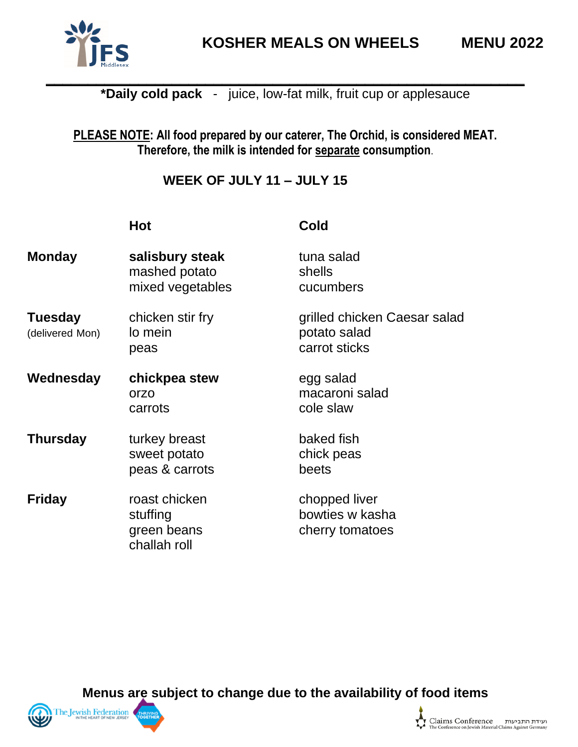

#### **PLEASE NOTE: All food prepared by our caterer, The Orchid, is considered MEAT. Therefore, the milk is intended for separate consumption**.

# **WEEK OF JULY 11 – JULY 15**

| I<br>×<br>۰.<br>$\sim$ |
|------------------------|
|                        |

**Hot Cold**

| <b>Monday</b>                     | salisbury steak<br>mashed potato<br>mixed vegetables     | tuna salad<br>shells<br>cucumbers                             |
|-----------------------------------|----------------------------------------------------------|---------------------------------------------------------------|
| <b>Tuesday</b><br>(delivered Mon) | chicken stir fry<br>lo mein<br>peas                      | grilled chicken Caesar salad<br>potato salad<br>carrot sticks |
| Wednesday                         | chickpea stew<br>orzo<br>carrots                         | egg salad<br>macaroni salad<br>cole slaw                      |
| <b>Thursday</b>                   | turkey breast<br>sweet potato<br>peas & carrots          | baked fish<br>chick peas<br>beets                             |
| <b>Friday</b>                     | roast chicken<br>stuffing<br>green beans<br>challah roll | chopped liver<br>bowties w kasha<br>cherry tomatoes           |

**Menus are subject to change due to the availability of food items**



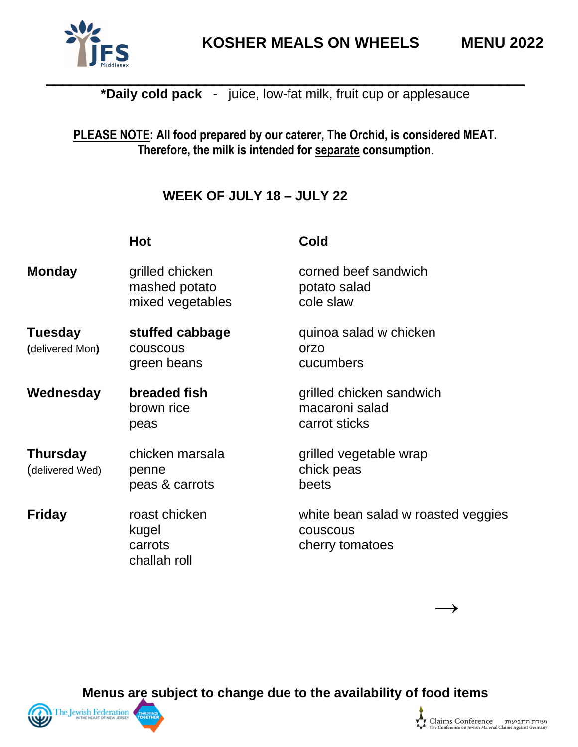

## **PLEASE NOTE: All food prepared by our caterer, The Orchid, is considered MEAT. Therefore, the milk is intended for separate consumption**.

# **WEEK OF JULY 18 – JULY 22**

|                                    | <b>Hot</b>                                           | Cold                                                              |
|------------------------------------|------------------------------------------------------|-------------------------------------------------------------------|
| <b>Monday</b>                      | grilled chicken<br>mashed potato<br>mixed vegetables | corned beef sandwich<br>potato salad<br>cole slaw                 |
| <b>Tuesday</b><br>(delivered Mon)  | stuffed cabbage<br>couscous<br>green beans           | quinoa salad w chicken<br>orzo<br>cucumbers                       |
| Wednesday                          | breaded fish<br>brown rice<br>peas                   | grilled chicken sandwich<br>macaroni salad<br>carrot sticks       |
| <b>Thursday</b><br>(delivered Wed) | chicken marsala<br>penne<br>peas & carrots           | grilled vegetable wrap<br>chick peas<br>beets                     |
| <b>Friday</b>                      | roast chicken<br>kugel<br>carrots<br>challah roll    | white bean salad w roasted veggies<br>couscous<br>cherry tomatoes |

**Menus are subject to change due to the availability of food items**



**→**